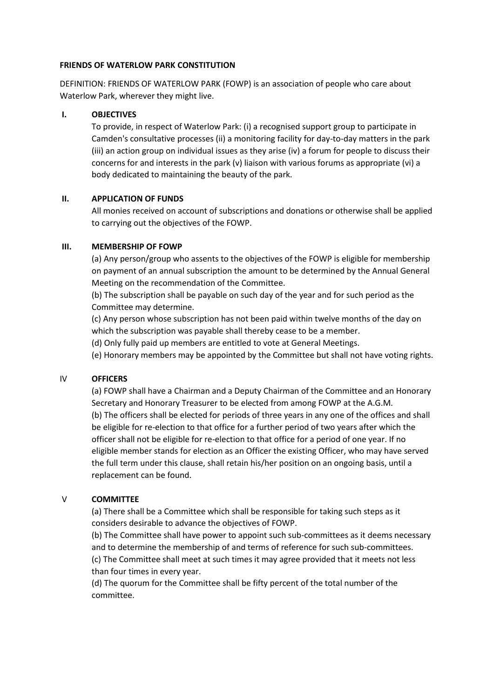#### **FRIENDS OF WATERLOW PARK CONSTITUTION**

DEFINITION: FRIENDS OF WATERLOW PARK (FOWP) is an association of people who care about Waterlow Park, wherever they might live.

## **I. OBJECTIVES**

To provide, in respect of Waterlow Park: (i) a recognised support group to participate in Camden's consultative processes (ii) a monitoring facility for day-to-day matters in the park (iii) an action group on individual issues as they arise (iv) a forum for people to discuss their concerns for and interests in the park (v) liaison with various forums as appropriate (vi) a body dedicated to maintaining the beauty of the park.

#### **II. APPLICATION OF FUNDS**

All monies received on account of subscriptions and donations or otherwise shall be applied to carrying out the objectives of the FOWP.

#### **III. MEMBERSHIP OF FOWP**

(a) Any person/group who assents to the objectives of the FOWP is eligible for membership on payment of an annual subscription the amount to be determined by the Annual General Meeting on the recommendation of the Committee.

(b) The subscription shall be payable on such day of the year and for such period as the Committee may determine.

(c) Any person whose subscription has not been paid within twelve months of the day on which the subscription was payable shall thereby cease to be a member.

(d) Only fully paid up members are entitled to vote at General Meetings.

(e) Honorary members may be appointed by the Committee but shall not have voting rights.

## IV **OFFICERS**

(a) FOWP shall have a Chairman and a Deputy Chairman of the Committee and an Honorary Secretary and Honorary Treasurer to be elected from among FOWP at the A.G.M. (b) The officers shall be elected for periods of three years in any one of the offices and shall be eligible for re-election to that office for a further period of two years after which the officer shall not be eligible for re-election to that office for a period of one year. If no eligible member stands for election as an Officer the existing Officer, who may have served the full term under this clause, shall retain his/her position on an ongoing basis, until a replacement can be found.

## V **COMMITTEE**

(a) There shall be a Committee which shall be responsible for taking such steps as it considers desirable to advance the objectives of FOWP.

(b) The Committee shall have power to appoint such sub-committees as it deems necessary and to determine the membership of and terms of reference for such sub-committees. (c) The Committee shall meet at such times it may agree provided that it meets not less

than four times in every year.

(d) The quorum for the Committee shall be fifty percent of the total number of the committee.